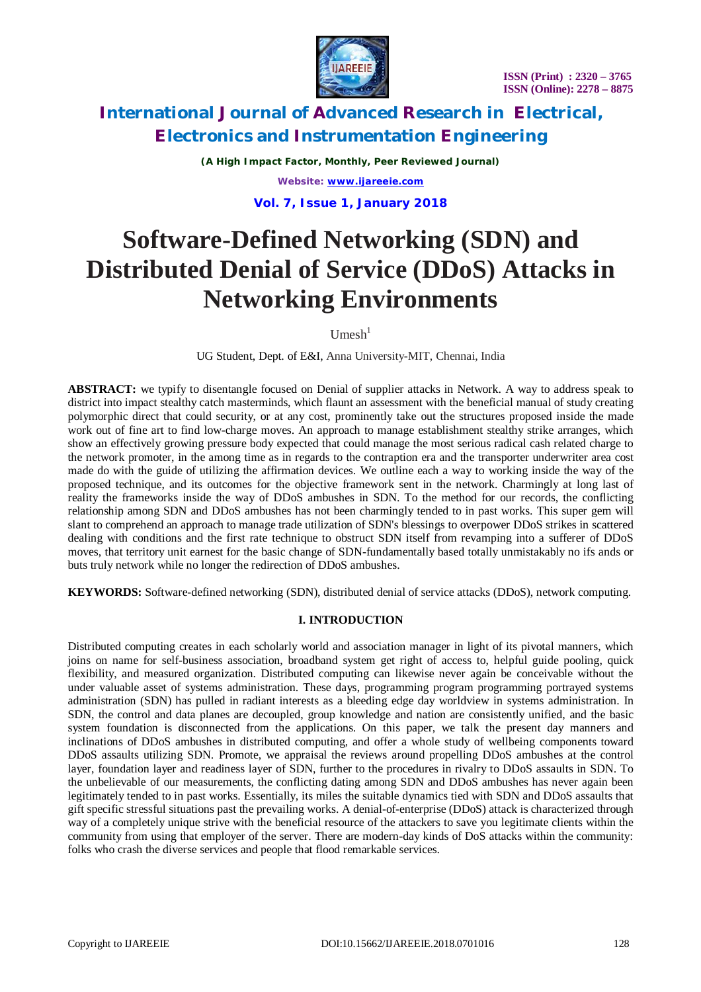

*(A High Impact Factor, Monthly, Peer Reviewed Journal) Website: [www.ijareeie.com](http://www.ijareeie.com)*

**Vol. 7, Issue 1, January 2018**

# **Software-Defined Networking (SDN) and Distributed Denial of Service (DDoS) Attacks in Networking Environments**

 $U$ mesh $<sup>1</sup>$ </sup>

UG Student, Dept. of E&I, Anna University-MIT, Chennai, India

**ABSTRACT:** we typify to disentangle focused on Denial of supplier attacks in Network. A way to address speak to district into impact stealthy catch masterminds, which flaunt an assessment with the beneficial manual of study creating polymorphic direct that could security, or at any cost, prominently take out the structures proposed inside the made work out of fine art to find low-charge moves. An approach to manage establishment stealthy strike arranges, which show an effectively growing pressure body expected that could manage the most serious radical cash related charge to the network promoter, in the among time as in regards to the contraption era and the transporter underwriter area cost made do with the guide of utilizing the affirmation devices. We outline each a way to working inside the way of the proposed technique, and its outcomes for the objective framework sent in the network. Charmingly at long last of reality the frameworks inside the way of DDoS ambushes in SDN. To the method for our records, the conflicting relationship among SDN and DDoS ambushes has not been charmingly tended to in past works. This super gem will slant to comprehend an approach to manage trade utilization of SDN's blessings to overpower DDoS strikes in scattered dealing with conditions and the first rate technique to obstruct SDN itself from revamping into a sufferer of DDoS moves, that territory unit earnest for the basic change of SDN-fundamentally based totally unmistakably no ifs ands or buts truly network while no longer the redirection of DDoS ambushes.

**KEYWORDS:** Software-defined networking (SDN), distributed denial of service attacks (DDoS), network computing.

### **I. INTRODUCTION**

Distributed computing creates in each scholarly world and association manager in light of its pivotal manners, which joins on name for self-business association, broadband system get right of access to, helpful guide pooling, quick flexibility, and measured organization. Distributed computing can likewise never again be conceivable without the under valuable asset of systems administration. These days, programming program programming portrayed systems administration (SDN) has pulled in radiant interests as a bleeding edge day worldview in systems administration. In SDN, the control and data planes are decoupled, group knowledge and nation are consistently unified, and the basic system foundation is disconnected from the applications. On this paper, we talk the present day manners and inclinations of DDoS ambushes in distributed computing, and offer a whole study of wellbeing components toward DDoS assaults utilizing SDN. Promote, we appraisal the reviews around propelling DDoS ambushes at the control layer, foundation layer and readiness layer of SDN, further to the procedures in rivalry to DDoS assaults in SDN. To the unbelievable of our measurements, the conflicting dating among SDN and DDoS ambushes has never again been legitimately tended to in past works. Essentially, its miles the suitable dynamics tied with SDN and DDoS assaults that gift specific stressful situations past the prevailing works. A denial-of-enterprise (DDoS) attack is characterized through way of a completely unique strive with the beneficial resource of the attackers to save you legitimate clients within the community from using that employer of the server. There are modern-day kinds of DoS attacks within the community: folks who crash the diverse services and people that flood remarkable services.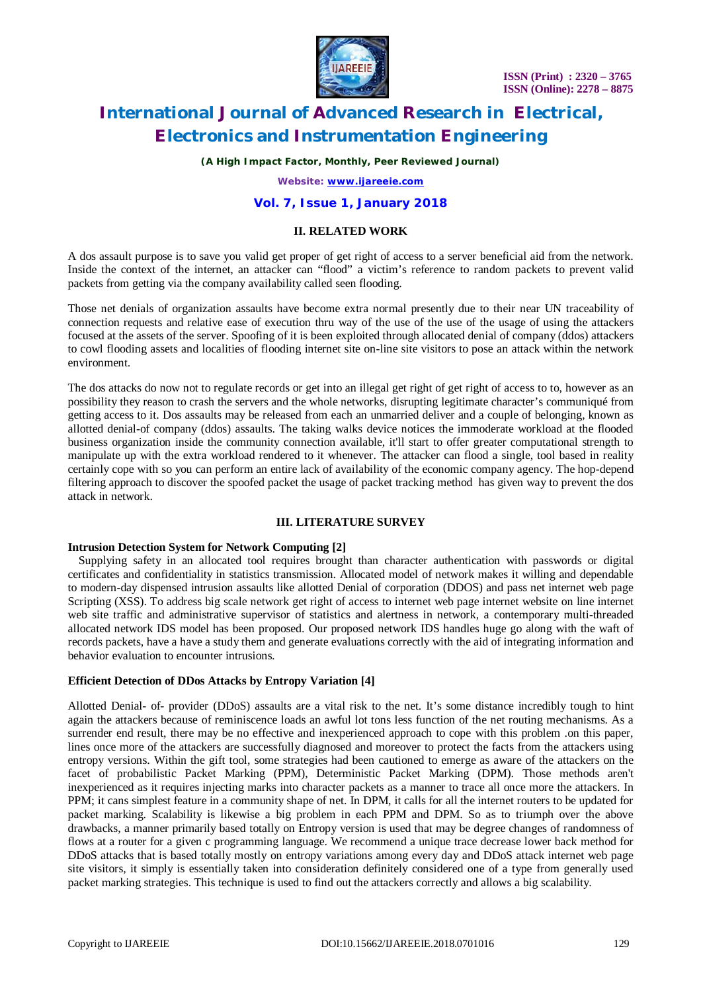

*(A High Impact Factor, Monthly, Peer Reviewed Journal)*

*Website: [www.ijareeie.com](http://www.ijareeie.com)*

### **Vol. 7, Issue 1, January 2018**

#### **II. RELATED WORK**

A dos assault purpose is to save you valid get proper of get right of access to a server beneficial aid from the network. Inside the context of the internet, an attacker can "flood" a victim's reference to random packets to prevent valid packets from getting via the company availability called seen flooding.

Those net denials of organization assaults have become extra normal presently due to their near UN traceability of connection requests and relative ease of execution thru way of the use of the use of the usage of using the attackers focused at the assets of the server. Spoofing of it is been exploited through allocated denial of company (ddos) attackers to cowl flooding assets and localities of flooding internet site on-line site visitors to pose an attack within the network environment.

The dos attacks do now not to regulate records or get into an illegal get right of get right of access to to, however as an possibility they reason to crash the servers and the whole networks, disrupting legitimate character's communiqué from getting access to it. Dos assaults may be released from each an unmarried deliver and a couple of belonging, known as allotted denial-of company (ddos) assaults. The taking walks device notices the immoderate workload at the flooded business organization inside the community connection available, it'll start to offer greater computational strength to manipulate up with the extra workload rendered to it whenever. The attacker can flood a single, tool based in reality certainly cope with so you can perform an entire lack of availability of the economic company agency. The hop-depend filtering approach to discover the spoofed packet the usage of packet tracking method has given way to prevent the dos attack in network.

#### **III. LITERATURE SURVEY**

#### **Intrusion Detection System for Network Computing [2]**

Supplying safety in an allocated tool requires brought than character authentication with passwords or digital certificates and confidentiality in statistics transmission. Allocated model of network makes it willing and dependable to modern-day dispensed intrusion assaults like allotted Denial of corporation (DDOS) and pass net internet web page Scripting (XSS). To address big scale network get right of access to internet web page internet website on line internet web site traffic and administrative supervisor of statistics and alertness in network, a contemporary multi-threaded allocated network IDS model has been proposed. Our proposed network IDS handles huge go along with the waft of records packets, have a have a study them and generate evaluations correctly with the aid of integrating information and behavior evaluation to encounter intrusions.

#### **Efficient Detection of DDos Attacks by Entropy Variation [4]**

Allotted Denial- of- provider (DDoS) assaults are a vital risk to the net. It's some distance incredibly tough to hint again the attackers because of reminiscence loads an awful lot tons less function of the net routing mechanisms. As a surrender end result, there may be no effective and inexperienced approach to cope with this problem .on this paper, lines once more of the attackers are successfully diagnosed and moreover to protect the facts from the attackers using entropy versions. Within the gift tool, some strategies had been cautioned to emerge as aware of the attackers on the facet of probabilistic Packet Marking (PPM), Deterministic Packet Marking (DPM). Those methods aren't inexperienced as it requires injecting marks into character packets as a manner to trace all once more the attackers. In PPM; it cans simplest feature in a community shape of net. In DPM, it calls for all the internet routers to be updated for packet marking. Scalability is likewise a big problem in each PPM and DPM. So as to triumph over the above drawbacks, a manner primarily based totally on Entropy version is used that may be degree changes of randomness of flows at a router for a given c programming language. We recommend a unique trace decrease lower back method for DDoS attacks that is based totally mostly on entropy variations among every day and DDoS attack internet web page site visitors, it simply is essentially taken into consideration definitely considered one of a type from generally used packet marking strategies. This technique is used to find out the attackers correctly and allows a big scalability.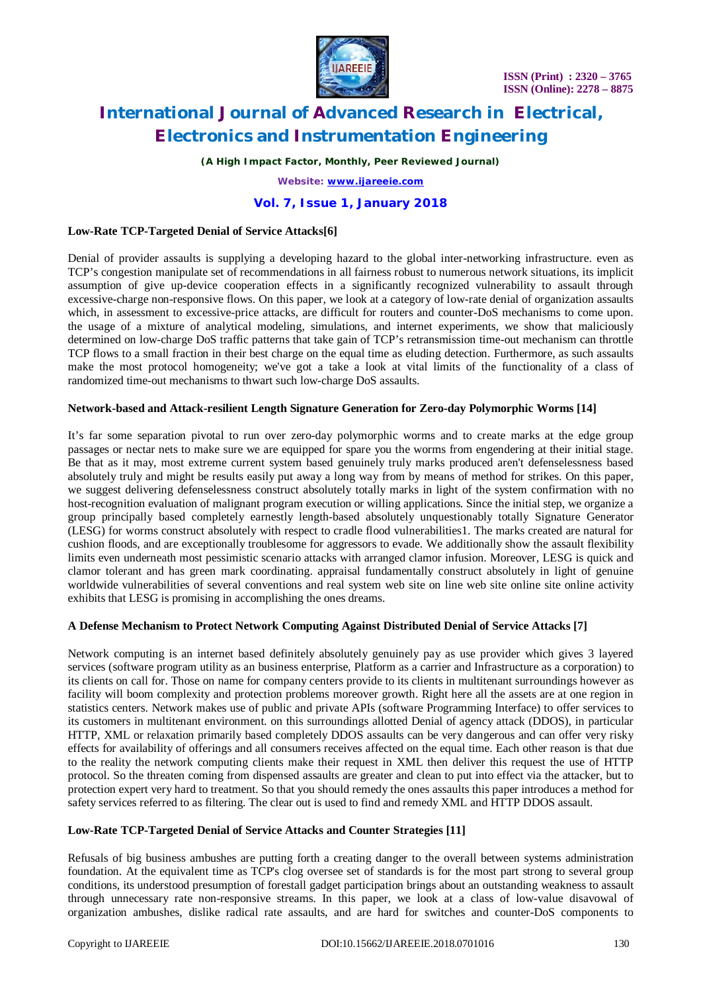

*(A High Impact Factor, Monthly, Peer Reviewed Journal)*

*Website: [www.ijareeie.com](http://www.ijareeie.com)*

#### **Vol. 7, Issue 1, January 2018**

#### **Low-Rate TCP-Targeted Denial of Service Attacks[6]**

Denial of provider assaults is supplying a developing hazard to the global inter-networking infrastructure. even as TCP's congestion manipulate set of recommendations in all fairness robust to numerous network situations, its implicit assumption of give up-device cooperation effects in a significantly recognized vulnerability to assault through excessive-charge non-responsive flows. On this paper, we look at a category of low-rate denial of organization assaults which, in assessment to excessive-price attacks, are difficult for routers and counter-DoS mechanisms to come upon. the usage of a mixture of analytical modeling, simulations, and internet experiments, we show that maliciously determined on low-charge DoS traffic patterns that take gain of TCP's retransmission time-out mechanism can throttle TCP flows to a small fraction in their best charge on the equal time as eluding detection. Furthermore, as such assaults make the most protocol homogeneity; we've got a take a look at vital limits of the functionality of a class of randomized time-out mechanisms to thwart such low-charge DoS assaults.

#### **Network-based and Attack-resilient Length Signature Generation for Zero-day Polymorphic Worms [14]**

It's far some separation pivotal to run over zero-day polymorphic worms and to create marks at the edge group passages or nectar nets to make sure we are equipped for spare you the worms from engendering at their initial stage. Be that as it may, most extreme current system based genuinely truly marks produced aren't defenselessness based absolutely truly and might be results easily put away a long way from by means of method for strikes. On this paper, we suggest delivering defenselessness construct absolutely totally marks in light of the system confirmation with no host-recognition evaluation of malignant program execution or willing applications. Since the initial step, we organize a group principally based completely earnestly length-based absolutely unquestionably totally Signature Generator (LESG) for worms construct absolutely with respect to cradle flood vulnerabilities1. The marks created are natural for cushion floods, and are exceptionally troublesome for aggressors to evade. We additionally show the assault flexibility limits even underneath most pessimistic scenario attacks with arranged clamor infusion. Moreover, LESG is quick and clamor tolerant and has green mark coordinating. appraisal fundamentally construct absolutely in light of genuine worldwide vulnerabilities of several conventions and real system web site on line web site online site online activity exhibits that LESG is promising in accomplishing the ones dreams.

#### **A Defense Mechanism to Protect Network Computing Against Distributed Denial of Service Attacks [7]**

Network computing is an internet based definitely absolutely genuinely pay as use provider which gives 3 layered services (software program utility as an business enterprise, Platform as a carrier and Infrastructure as a corporation) to its clients on call for. Those on name for company centers provide to its clients in multitenant surroundings however as facility will boom complexity and protection problems moreover growth. Right here all the assets are at one region in statistics centers. Network makes use of public and private APIs (software Programming Interface) to offer services to its customers in multitenant environment. on this surroundings allotted Denial of agency attack (DDOS), in particular HTTP, XML or relaxation primarily based completely DDOS assaults can be very dangerous and can offer very risky effects for availability of offerings and all consumers receives affected on the equal time. Each other reason is that due to the reality the network computing clients make their request in XML then deliver this request the use of HTTP protocol. So the threaten coming from dispensed assaults are greater and clean to put into effect via the attacker, but to protection expert very hard to treatment. So that you should remedy the ones assaults this paper introduces a method for safety services referred to as filtering. The clear out is used to find and remedy XML and HTTP DDOS assault.

#### **Low-Rate TCP-Targeted Denial of Service Attacks and Counter Strategies [11]**

Refusals of big business ambushes are putting forth a creating danger to the overall between systems administration foundation. At the equivalent time as TCP's clog oversee set of standards is for the most part strong to several group conditions, its understood presumption of forestall gadget participation brings about an outstanding weakness to assault through unnecessary rate non-responsive streams. In this paper, we look at a class of low-value disavowal of organization ambushes, dislike radical rate assaults, and are hard for switches and counter-DoS components to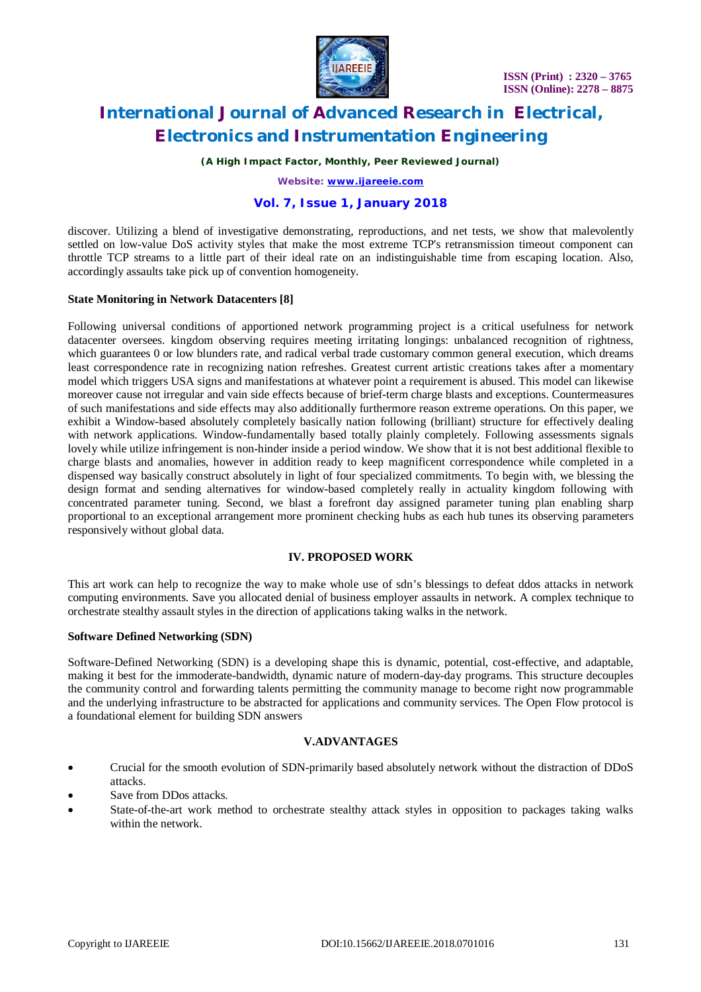

*(A High Impact Factor, Monthly, Peer Reviewed Journal)*

*Website: [www.ijareeie.com](http://www.ijareeie.com)*

### **Vol. 7, Issue 1, January 2018**

discover. Utilizing a blend of investigative demonstrating, reproductions, and net tests, we show that malevolently settled on low-value DoS activity styles that make the most extreme TCP's retransmission timeout component can throttle TCP streams to a little part of their ideal rate on an indistinguishable time from escaping location. Also, accordingly assaults take pick up of convention homogeneity.

#### **State Monitoring in Network Datacenters [8]**

Following universal conditions of apportioned network programming project is a critical usefulness for network datacenter oversees. kingdom observing requires meeting irritating longings: unbalanced recognition of rightness, which guarantees 0 or low blunders rate, and radical verbal trade customary common general execution, which dreams least correspondence rate in recognizing nation refreshes. Greatest current artistic creations takes after a momentary model which triggers USA signs and manifestations at whatever point a requirement is abused. This model can likewise moreover cause not irregular and vain side effects because of brief-term charge blasts and exceptions. Countermeasures of such manifestations and side effects may also additionally furthermore reason extreme operations. On this paper, we exhibit a Window-based absolutely completely basically nation following (brilliant) structure for effectively dealing with network applications. Window-fundamentally based totally plainly completely. Following assessments signals lovely while utilize infringement is non-hinder inside a period window. We show that it is not best additional flexible to charge blasts and anomalies, however in addition ready to keep magnificent correspondence while completed in a dispensed way basically construct absolutely in light of four specialized commitments. To begin with, we blessing the design format and sending alternatives for window-based completely really in actuality kingdom following with concentrated parameter tuning. Second, we blast a forefront day assigned parameter tuning plan enabling sharp proportional to an exceptional arrangement more prominent checking hubs as each hub tunes its observing parameters responsively without global data.

#### **IV. PROPOSED WORK**

This art work can help to recognize the way to make whole use of sdn's blessings to defeat ddos attacks in network computing environments. Save you allocated denial of business employer assaults in network. A complex technique to orchestrate stealthy assault styles in the direction of applications taking walks in the network.

#### **Software Defined Networking (SDN)**

Software-Defined Networking (SDN) is a developing shape this is dynamic, potential, cost-effective, and adaptable, making it best for the immoderate-bandwidth, dynamic nature of modern-day-day programs. This structure decouples the community control and forwarding talents permitting the community manage to become right now programmable and the underlying infrastructure to be abstracted for applications and community services. The Open Flow protocol is a foundational element for building SDN answers

#### **V.ADVANTAGES**

- Crucial for the smooth evolution of SDN-primarily based absolutely network without the distraction of DDoS attacks.
- Save from DDos attacks.
- State-of-the-art work method to orchestrate stealthy attack styles in opposition to packages taking walks within the network.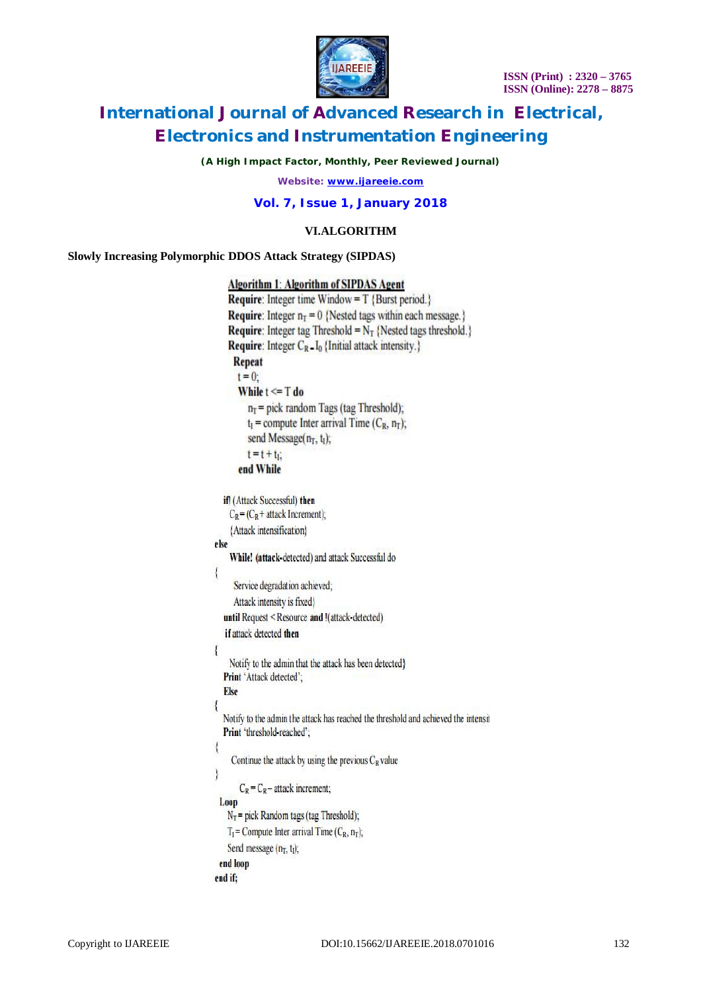

*(A High Impact Factor, Monthly, Peer Reviewed Journal)*

*Website: [www.ijareeie.com](http://www.ijareeie.com)*

**Vol. 7, Issue 1, January 2018**

### **VI.ALGORITHM**

**Slowly Increasing Polymorphic DDOS Attack Strategy (SIPDAS)**

```
Algorithm 1: Algorithm of SIPDAS Agent
    Require: Integer time Window = T {Burst period.}
    Require: Integer n_T = 0 {Nested tags within each message.}
    Require: Integer tag Threshold = N_T {Nested tags threshold.}
    Require: Integer C_R = I_0 {Initial attack intensity.}
     Repeat
      t = 0:
      While t \le T do
         n_T = pick random Tags (tag Threshold);
         t_1 = compute Inter arrival Time (C_R, n_T);
         send Message(n<sub>T</sub>, t<sub>I</sub>);
         t = t + tend While
  if! (Attack Successful) then
    C_R = (C_R + \text{attack Increment});{Attack intensification}
else
    While! (attack-detected) and attack Successful do
\overline{\mathcal{L}}Service degradation achieved;
     Attack intensity is fixed}
  until Request < Resource and !(attack-detected)
  if attack detected then
ł
   Notify to the admin that the attack has been detected}
  Print 'Attack detected';
  Else
\overline{\mathcal{L}}Notify to the admin the attack has reached the threshold and achieved the intensit
  Print 'threshold-reached';
     Continue the attack by using the previous C_R value
       C_R = C_R – attack increment;
 Loop
   N_T = pick Random tags (tag Threshold);
   T_I = Compute Inter arrival Time (C_R, n_T);
   Send message (n_T, t_I);
 end loop
end if:
```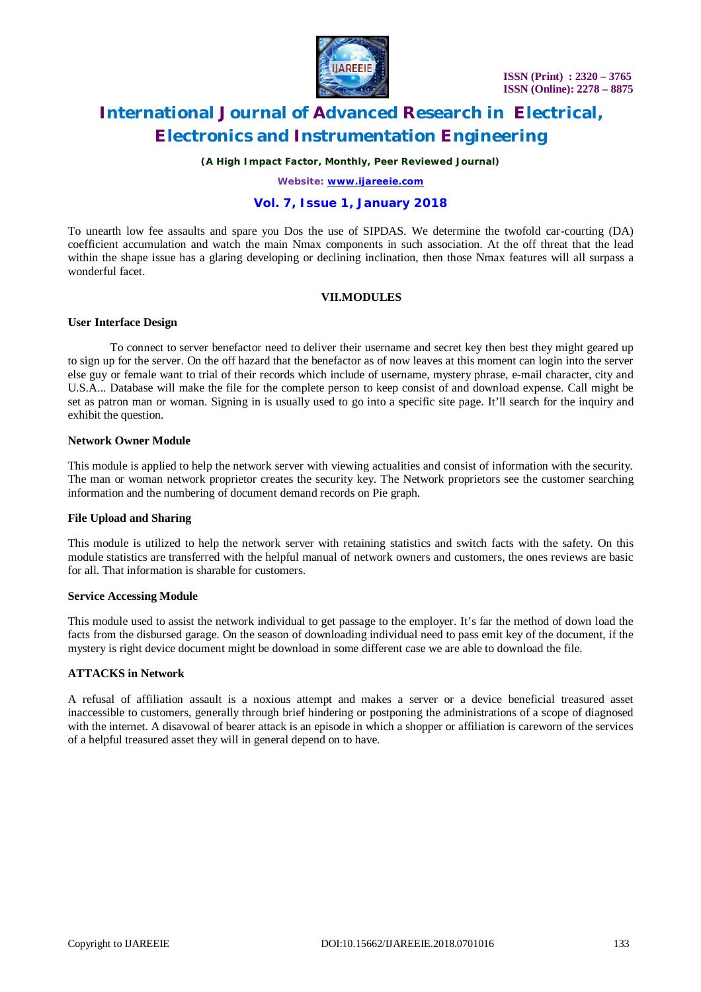

*(A High Impact Factor, Monthly, Peer Reviewed Journal)*

*Website: [www.ijareeie.com](http://www.ijareeie.com)*

### **Vol. 7, Issue 1, January 2018**

To unearth low fee assaults and spare you Dos the use of SIPDAS. We determine the twofold car-courting (DA) coefficient accumulation and watch the main Nmax components in such association. At the off threat that the lead within the shape issue has a glaring developing or declining inclination, then those Nmax features will all surpass a wonderful facet.

#### **VII.MODULES**

#### **User Interface Design**

To connect to server benefactor need to deliver their username and secret key then best they might geared up to sign up for the server. On the off hazard that the benefactor as of now leaves at this moment can login into the server else guy or female want to trial of their records which include of username, mystery phrase, e-mail character, city and U.S.A... Database will make the file for the complete person to keep consist of and download expense. Call might be set as patron man or woman. Signing in is usually used to go into a specific site page. It'll search for the inquiry and exhibit the question.

#### **Network Owner Module**

This module is applied to help the network server with viewing actualities and consist of information with the security. The man or woman network proprietor creates the security key. The Network proprietors see the customer searching information and the numbering of document demand records on Pie graph.

#### **File Upload and Sharing**

This module is utilized to help the network server with retaining statistics and switch facts with the safety. On this module statistics are transferred with the helpful manual of network owners and customers, the ones reviews are basic for all. That information is sharable for customers.

#### **Service Accessing Module**

This module used to assist the network individual to get passage to the employer. It's far the method of down load the facts from the disbursed garage. On the season of downloading individual need to pass emit key of the document, if the mystery is right device document might be download in some different case we are able to download the file.

#### **ATTACKS in Network**

A refusal of affiliation assault is a noxious attempt and makes a server or a device beneficial treasured asset inaccessible to customers, generally through brief hindering or postponing the administrations of a scope of diagnosed with the internet. A disavowal of bearer attack is an episode in which a shopper or affiliation is careworn of the services of a helpful treasured asset they will in general depend on to have.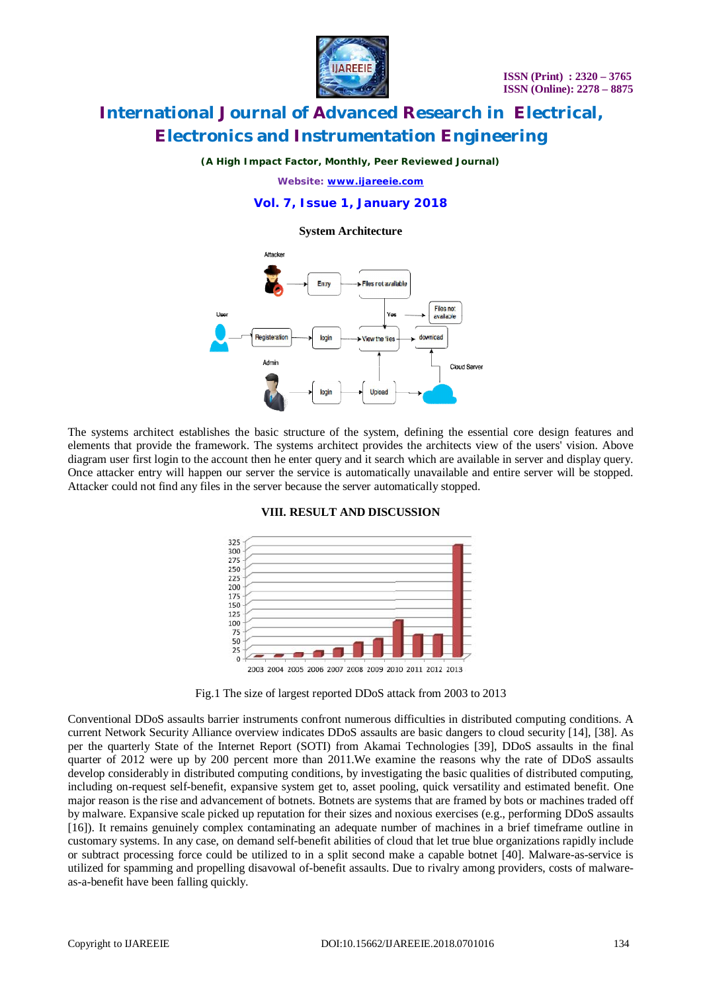

#### *(A High Impact Factor, Monthly, Peer Reviewed Journal)*

*Website: [www.ijareeie.com](http://www.ijareeie.com)*

#### **Vol. 7, Issue 1, January 2018**

**System Architecture**



The systems architect establishes the basic structure of the system, defining the essential core design features and elements that provide the framework. The systems architect provides the architects view of the users' vision. Above diagram user first login to the account then he enter query and it search which are available in server and display query. Once attacker entry will happen our server the service is automatically unavailable and entire server will be stopped. Attacker could not find any files in the server because the server automatically stopped.





Fig.1 The size of largest reported DDoS attack from 2003 to 2013

Conventional DDoS assaults barrier instruments confront numerous difficulties in distributed computing conditions. A current Network Security Alliance overview indicates DDoS assaults are basic dangers to cloud security [14], [38]. As per the quarterly State of the Internet Report (SOTI) from Akamai Technologies [39], DDoS assaults in the final quarter of 2012 were up by 200 percent more than 2011.We examine the reasons why the rate of DDoS assaults develop considerably in distributed computing conditions, by investigating the basic qualities of distributed computing, including on-request self-benefit, expansive system get to, asset pooling, quick versatility and estimated benefit. One major reason is the rise and advancement of botnets. Botnets are systems that are framed by bots or machines traded off by malware. Expansive scale picked up reputation for their sizes and noxious exercises (e.g., performing DDoS assaults [16]). It remains genuinely complex contaminating an adequate number of machines in a brief timeframe outline in customary systems. In any case, on demand self-benefit abilities of cloud that let true blue organizations rapidly include or subtract processing force could be utilized to in a split second make a capable botnet [40]. Malware-as-service is utilized for spamming and propelling disavowal of-benefit assaults. Due to rivalry among providers, costs of malwareas-a-benefit have been falling quickly.